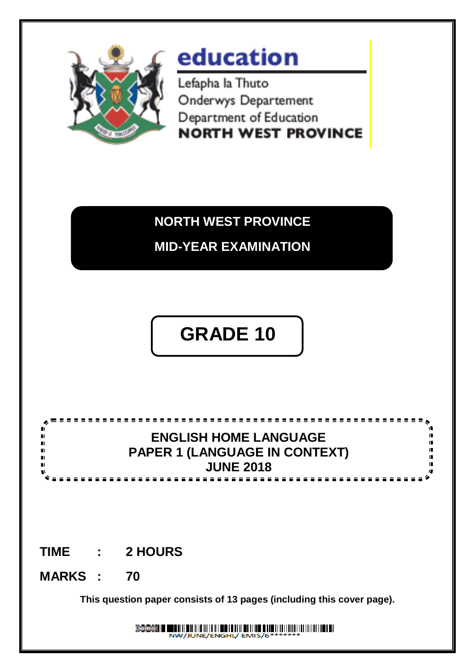

# education

Lefapha la Thuto Onderwys Departement Department of Education **NORTH WEST PROVINCE** 

### **NORTH WEST PROVINCE**

**MID-YEAR EXAMINATION**

## **GRADE 10 GRADE 11**

#### ==========**= ENGLISH HOME LANGUAGE**  $\blacksquare$ **PAPER 1 (LANGUAGE IN CONTEXT) JUNE 2018** $= 1$

### **TIME : 2 HOURS**

**MARKS : 70**

**This question paper consists of 13 pages (including this cover page).**

Demo II WILLIAM MINITER ENIS/GHILLININININININI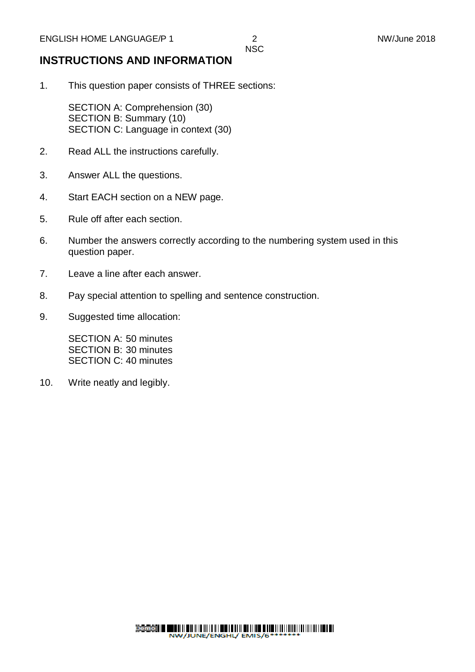#### **INSTRUCTIONS AND INFORMATION**

1. This question paper consists of THREE sections:

SECTION A: Comprehension (30) SECTION B: Summary (10) SECTION C: Language in context (30)

- 2. Read ALL the instructions carefully.
- 3. Answer ALL the questions.
- 4. Start EACH section on a NEW page.
- 5. Rule off after each section.
- 6. Number the answers correctly according to the numbering system used in this question paper.
- 7. Leave a line after each answer.
- 8. Pay special attention to spelling and sentence construction.
- 9. Suggested time allocation:

SECTION A: 50 minutes SECTION B: 30 minutes SECTION C: 40 minutes

10. Write neatly and legibly.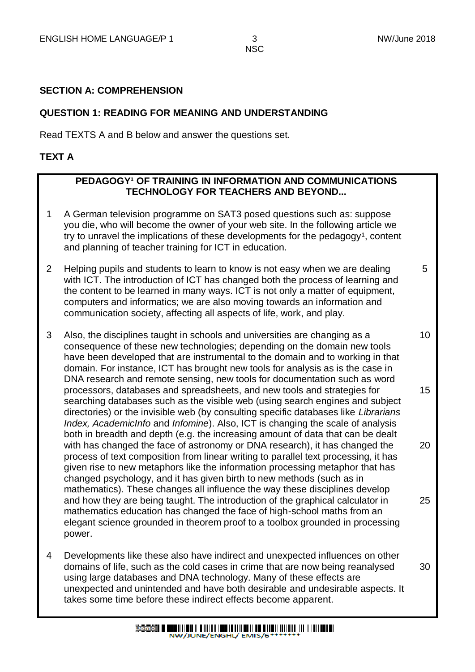5

30

**NSC** 

#### **SECTION A: COMPREHENSION**

#### **QUESTION 1: READING FOR MEANING AND UNDERSTANDING**

Read TEXTS A and B below and answer the questions set.

#### **TEXT A**

#### **PEDAGOGY<sup>1</sup> OF TRAINING IN INFORMATION AND COMMUNICATIONS TECHNOLOGY FOR TEACHERS AND BEYOND...**

- 1 A German television programme on SAT3 posed questions such as: suppose you die, who will become the owner of your web site. In the following article we try to unravel the implications of these developments for the pedagogy<sup>1</sup>, content and planning of teacher training for ICT in education.
- 2 Helping pupils and students to learn to know is not easy when we are dealing with ICT. The introduction of ICT has changed both the process of learning and the content to be learned in many ways. ICT is not only a matter of equipment, computers and informatics; we are also moving towards an information and communication society, affecting all aspects of life, work, and play.
- 3 Also, the disciplines taught in schools and universities are changing as a consequence of these new technologies; depending on the domain new tools have been developed that are instrumental to the domain and to working in that domain. For instance, ICT has brought new tools for analysis as is the case in DNA research and remote sensing, new tools for documentation such as word processors, databases and spreadsheets, and new tools and strategies for searching databases such as the visible web (using search engines and subject directories) or the invisible web (by consulting specific databases like *Librarians Index, AcademicInfo* and *Infomine*). Also, ICT is changing the scale of analysis both in breadth and depth (e.g. the increasing amount of data that can be dealt with has changed the face of astronomy or DNA research), it has changed the process of text composition from linear writing to parallel text processing, it has given rise to new metaphors like the information processing metaphor that has changed psychology, and it has given birth to new methods (such as in mathematics). These changes all influence the way these disciplines develop and how they are being taught. The introduction of the graphical calculator in mathematics education has changed the face of high-school maths from an elegant science grounded in theorem proof to a toolbox grounded in processing power. 10 15 20 25
- 4 Developments like these also have indirect and unexpected influences on other domains of life, such as the cold cases in crime that are now being reanalysed using large databases and DNA technology. Many of these effects are unexpected and unintended and have both desirable and undesirable aspects. It takes some time before these indirect effects become apparent.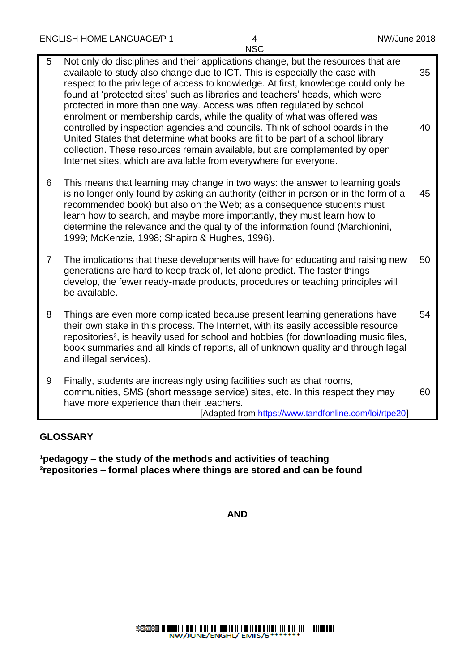| 5              | Not only do disciplines and their applications change, but the resources that are<br>available to study also change due to ICT. This is especially the case with<br>respect to the privilege of access to knowledge. At first, knowledge could only be<br>found at 'protected sites' such as libraries and teachers' heads, which were<br>protected in more than one way. Access was often regulated by school<br>enrolment or membership cards, while the quality of what was offered was<br>controlled by inspection agencies and councils. Think of school boards in the<br>United States that determine what books are fit to be part of a school library<br>collection. These resources remain available, but are complemented by open<br>Internet sites, which are available from everywhere for everyone. | 35<br>40 |
|----------------|------------------------------------------------------------------------------------------------------------------------------------------------------------------------------------------------------------------------------------------------------------------------------------------------------------------------------------------------------------------------------------------------------------------------------------------------------------------------------------------------------------------------------------------------------------------------------------------------------------------------------------------------------------------------------------------------------------------------------------------------------------------------------------------------------------------|----------|
| 6              | This means that learning may change in two ways: the answer to learning goals<br>is no longer only found by asking an authority (either in person or in the form of a<br>recommended book) but also on the Web; as a consequence students must<br>learn how to search, and maybe more importantly, they must learn how to<br>determine the relevance and the quality of the information found (Marchionini,<br>1999; McKenzie, 1998; Shapiro & Hughes, 1996).                                                                                                                                                                                                                                                                                                                                                    | 45       |
| $\overline{7}$ | The implications that these developments will have for educating and raising new<br>generations are hard to keep track of, let alone predict. The faster things<br>develop, the fewer ready-made products, procedures or teaching principles will<br>be available.                                                                                                                                                                                                                                                                                                                                                                                                                                                                                                                                               | 50       |
| 8              | Things are even more complicated because present learning generations have<br>their own stake in this process. The Internet, with its easily accessible resource<br>repositories <sup>2</sup> , is heavily used for school and hobbies (for downloading music files,<br>book summaries and all kinds of reports, all of unknown quality and through legal<br>and illegal services).                                                                                                                                                                                                                                                                                                                                                                                                                              | 54       |
| 9              | Finally, students are increasingly using facilities such as chat rooms,<br>communities, SMS (short message service) sites, etc. In this respect they may<br>have more experience than their teachers.<br>[Adapted from https://www.tandfonline.com/loi/rtpe20]                                                                                                                                                                                                                                                                                                                                                                                                                                                                                                                                                   | 60       |

#### **GLOSSARY**

**¹pedagogy – the study of the methods and activities of teaching ²repositories – formal places where things are stored and can be found**

**AND**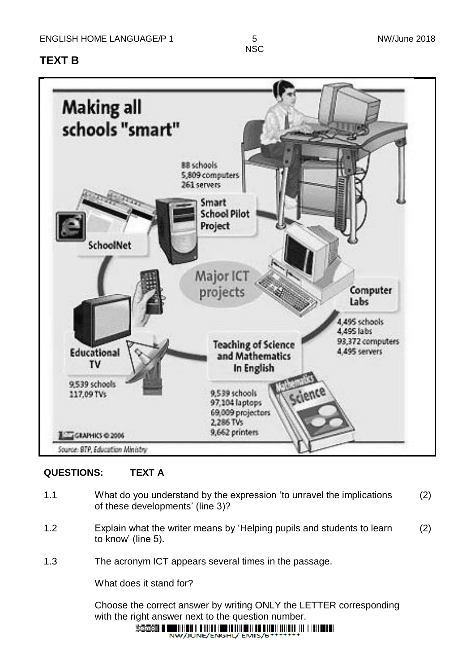### **TEXT B**

**NSC** 



#### **QUESTIONS: TEXT A**

- 1.1 What do you understand by the expression 'to unravel the implications of these developments' (line 3)? (2)
- 1.2 Explain what the writer means by 'Helping pupils and students to learn to know' (line 5). (2)
- 1.3 The acronym ICT appears several times in the passage.

What does it stand for?

Choose the correct answer by writing ONLY the LETTER corresponding with the right answer next to the question number. $Demo$   $\parallel$ 

NW/JUNE/ENGHL/ EMIS/6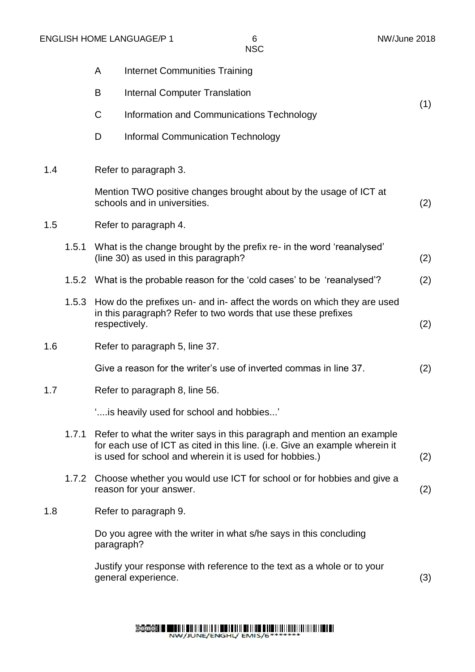|     |       | A                                                                                                 | <b>Internet Communities Training</b>                                                                                                                                                                                   |     |
|-----|-------|---------------------------------------------------------------------------------------------------|------------------------------------------------------------------------------------------------------------------------------------------------------------------------------------------------------------------------|-----|
|     |       | B                                                                                                 | <b>Internal Computer Translation</b>                                                                                                                                                                                   |     |
|     |       | $\mathsf C$                                                                                       | Information and Communications Technology                                                                                                                                                                              | (1) |
|     |       | D                                                                                                 | Informal Communication Technology                                                                                                                                                                                      |     |
| 1.4 |       |                                                                                                   | Refer to paragraph 3.                                                                                                                                                                                                  |     |
|     |       | Mention TWO positive changes brought about by the usage of ICT at<br>schools and in universities. |                                                                                                                                                                                                                        |     |
| 1.5 |       | Refer to paragraph 4.                                                                             |                                                                                                                                                                                                                        |     |
|     | 1.5.1 |                                                                                                   | What is the change brought by the prefix re- in the word 'reanalysed'<br>(line 30) as used in this paragraph?                                                                                                          | (2) |
|     |       |                                                                                                   | 1.5.2 What is the probable reason for the 'cold cases' to be 'reanalysed'?                                                                                                                                             | (2) |
|     | 1.5.3 | respectively.                                                                                     | How do the prefixes un- and in- affect the words on which they are used<br>in this paragraph? Refer to two words that use these prefixes                                                                               | (2) |
| 1.6 |       |                                                                                                   | Refer to paragraph 5, line 37.                                                                                                                                                                                         |     |
|     |       |                                                                                                   | Give a reason for the writer's use of inverted commas in line 37.                                                                                                                                                      | (2) |
| 1.7 |       |                                                                                                   | Refer to paragraph 8, line 56.                                                                                                                                                                                         |     |
|     |       |                                                                                                   | " is heavily used for school and hobbies"                                                                                                                                                                              |     |
|     |       |                                                                                                   | 1.7.1 Refer to what the writer says in this paragraph and mention an example<br>for each use of ICT as cited in this line. (i.e. Give an example wherein it<br>is used for school and wherein it is used for hobbies.) | (2) |
|     |       |                                                                                                   | 1.7.2 Choose whether you would use ICT for school or for hobbies and give a<br>reason for your answer.                                                                                                                 | (2) |
| 1.8 |       |                                                                                                   | Refer to paragraph 9.                                                                                                                                                                                                  |     |
|     |       | paragraph?                                                                                        | Do you agree with the writer in what s/he says in this concluding                                                                                                                                                      |     |
|     |       |                                                                                                   | Justify your response with reference to the text as a whole or to your<br>general experience.                                                                                                                          | (3) |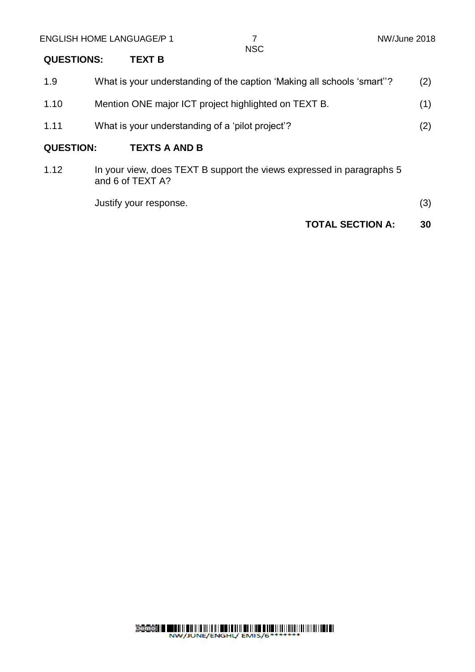#### **QUESTIONS: TEXT B**

| 1.9              | What is your understanding of the caption 'Making all schools 'smart'?                    | (2) |
|------------------|-------------------------------------------------------------------------------------------|-----|
| 1.10             | Mention ONE major ICT project highlighted on TEXT B.                                      | (1) |
| 1.11             | What is your understanding of a 'pilot project'?                                          | (2) |
| <b>QUESTION:</b> | <b>TEXTS A AND B</b>                                                                      |     |
| 1.12             | In your view, does TEXT B support the views expressed in paragraphs 5<br>and 6 of TEXT A? |     |

Justify your response. (3)

**TOTAL SECTION A: 30**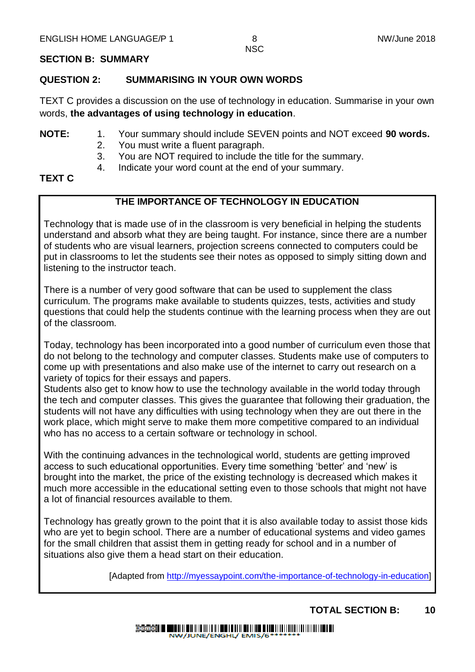#### **SECTION B: SUMMARY**

#### **QUESTION 2: SUMMARISING IN YOUR OWN WORDS**

TEXT C provides a discussion on the use of technology in education. Summarise in your own words, **the advantages of using technology in education**.

- **NOTE:** 1. Your summary should include SEVEN points and NOT exceed **90 words.**
	- 2. You must write a fluent paragraph.
	- 3. You are NOT required to include the title for the summary.
	- 4. Indicate your word count at the end of your summary.

#### **TEXT C**

#### **THE IMPORTANCE OF TECHNOLOGY IN EDUCATION**

Technology that is made use of in the classroom is very beneficial in helping the students understand and absorb what they are being taught. For instance, since there are a number of students who are visual learners, projection screens connected to computers could be put in classrooms to let the students see their notes as opposed to simply sitting down and listening to the instructor teach.

There is a number of very good software that can be used to supplement the class curriculum. The programs make available to students quizzes, tests, activities and study questions that could help the students continue with the learning process when they are out of the classroom.

Today, technology has been incorporated into a good number of curriculum even those that do not belong to the technology and computer classes. Students make use of computers to come up with presentations and also make use of the internet to carry out research on a variety of topics for their essays and papers.

Students also get to know how to use the technology available in the world today through the tech and computer classes. This gives the guarantee that following their graduation, the students will not have any difficulties with using technology when they are out there in the work place, which might serve to make them more competitive compared to an individual who has no access to a certain software or technology in school.

With the continuing advances in the technological world, students are getting improved access to such educational opportunities. Every time something 'better' and 'new' is brought into the market, the price of the existing technology is decreased which makes it much more accessible in the educational setting even to those schools that might not have a lot of financial resources available to them.

Technology has greatly grown to the point that it is also available today to assist those kids who are vet to begin school. There are a number of educational systems and video games for the small children that assist them in getting ready for school and in a number of situations also give them a head start on their education.

[Adapted from [http://myessaypoint.com/the-importance-of-technology-in-education\]](http://myessaypoint.com/the-importance-of-technology-in-education)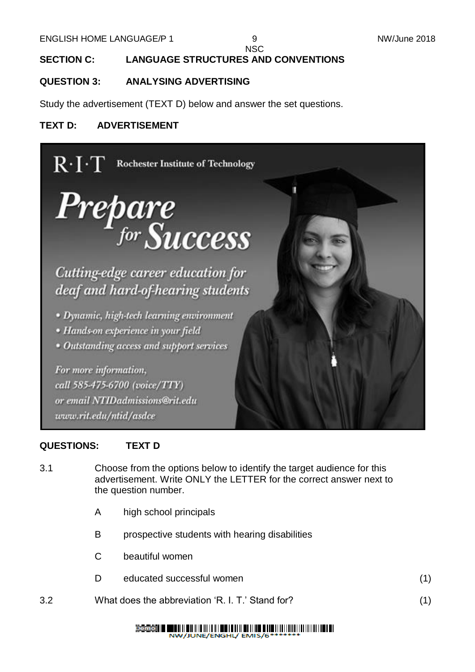#### **SECTION C: LANGUAGE STRUCTURES AND CONVENTIONS**

#### **QUESTION 3: ANALYSING ADVERTISING**

Study the advertisement (TEXT D) below and answer the set questions.

#### **TEXT D: ADVERTISEMENT**



#### **QUESTIONS: TEXT D**

- 3.1 Choose from the options below to identify the target audience for this advertisement. Write ONLY the LETTER for the correct answer next to the question number.
	- A high school principals
	- B prospective students with hearing disabilities
	- C beautiful women
	- D educated successful women (1) (1)
- 3.2 What does the abbreviation 'R. I. T.' Stand for? (1)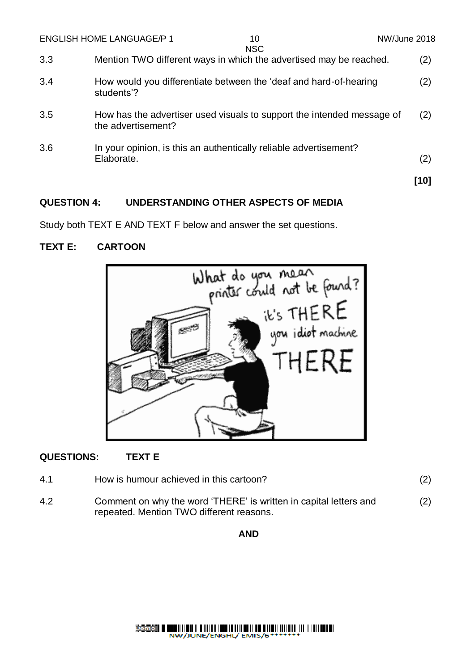|     | <b>ENGLISH HOME LANGUAGE/P 1</b>                                                             | 10<br><b>NSC</b> | NW/June 2018 |
|-----|----------------------------------------------------------------------------------------------|------------------|--------------|
| 3.3 | Mention TWO different ways in which the advertised may be reached.                           |                  | (2)          |
| 3.4 | How would you differentiate between the 'deaf and hard-of-hearing<br>students'?              |                  | (2)          |
| 3.5 | How has the advertiser used visuals to support the intended message of<br>the advertisement? |                  | (2)          |
| 3.6 | In your opinion, is this an authentically reliable advertisement?<br>Elaborate.              |                  | (2)          |
|     |                                                                                              |                  | [10]         |

#### **QUESTION 4: UNDERSTANDING OTHER ASPECTS OF MEDIA**

Study both TEXT E AND TEXT F below and answer the set questions.

#### **TEXT E: CARTOON**



#### **QUESTIONS: TEXT E**

| 4.1 | How is humour achieved in this cartoon?                                                                       | (2) |
|-----|---------------------------------------------------------------------------------------------------------------|-----|
| 4.2 | Comment on why the word 'THERE' is written in capital letters and<br>repeated. Mention TWO different reasons. | (2) |

#### **AND**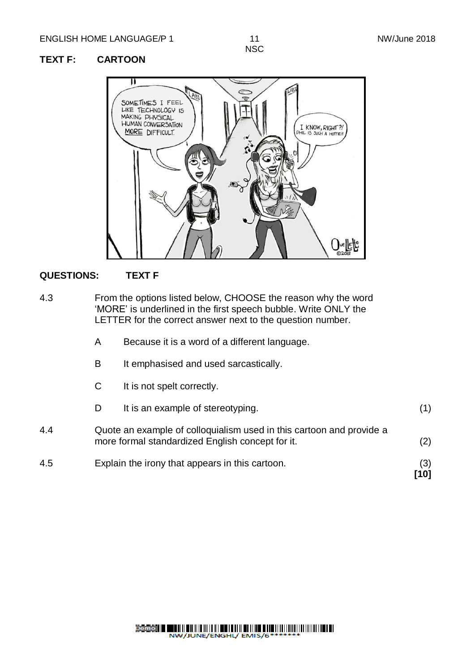#### **TEXT F: CARTOON**



#### **QUESTIONS: TEXT F**

- 4.3 From the options listed below, CHOOSE the reason why the word 'MORE' is underlined in the first speech bubble. Write ONLY the LETTER for the correct answer next to the question number.
	- A Because it is a word of a different language.
	- B It emphasised and used sarcastically.
	- C It is not spelt correctly.
	- D It is an example of stereotyping. (1)
- 4.4 Quote an example of colloquialism used in this cartoon and provide a more formal standardized English concept for it. (2)
- 4.5 Explain the irony that appears in this cartoon. (3)

**[10]**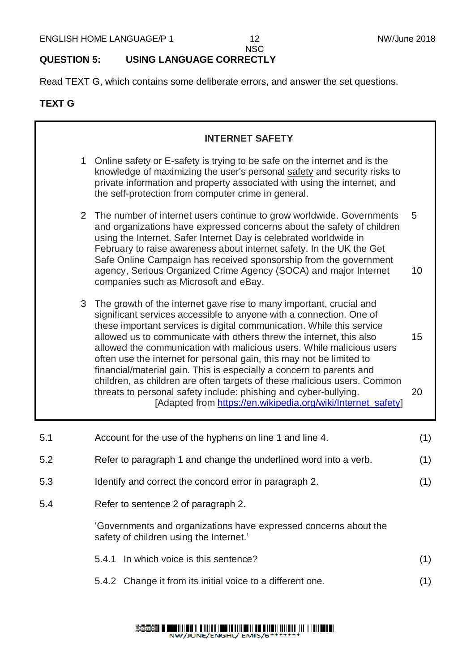#### **QUESTION 5: USING LANGUAGE CORRECTLY**

Read TEXT G, which contains some deliberate errors, and answer the set questions.

#### **TEXT G**

|                                            |                | <b>INTERNET SAFETY</b>                                                                                                                                                                                                                                                                                                                                                                                                                                                                                                                                                                                                                                                                                                              |          |
|--------------------------------------------|----------------|-------------------------------------------------------------------------------------------------------------------------------------------------------------------------------------------------------------------------------------------------------------------------------------------------------------------------------------------------------------------------------------------------------------------------------------------------------------------------------------------------------------------------------------------------------------------------------------------------------------------------------------------------------------------------------------------------------------------------------------|----------|
|                                            | 1              | Online safety or E-safety is trying to be safe on the internet and is the<br>knowledge of maximizing the user's personal safety and security risks to<br>private information and property associated with using the internet, and<br>the self-protection from computer crime in general.                                                                                                                                                                                                                                                                                                                                                                                                                                            |          |
|                                            | $\overline{2}$ | The number of internet users continue to grow worldwide. Governments<br>and organizations have expressed concerns about the safety of children<br>using the Internet. Safer Internet Day is celebrated worldwide in<br>February to raise awareness about internet safety. In the UK the Get<br>Safe Online Campaign has received sponsorship from the government<br>agency, Serious Organized Crime Agency (SOCA) and major Internet<br>companies such as Microsoft and eBay.                                                                                                                                                                                                                                                       | 5<br>10  |
|                                            | 3              | The growth of the internet gave rise to many important, crucial and<br>significant services accessible to anyone with a connection. One of<br>these important services is digital communication. While this service<br>allowed us to communicate with others threw the internet, this also<br>allowed the communication with malicious users. While malicious users<br>often use the internet for personal gain, this may not be limited to<br>financial/material gain. This is especially a concern to parents and<br>children, as children are often targets of these malicious users. Common<br>threats to personal safety include: phishing and cyber-bullying.<br>[Adapted from https://en.wikipedia.org/wiki/Internet_safety] | 15<br>20 |
| 5.1                                        |                | Account for the use of the hyphens on line 1 and line 4.                                                                                                                                                                                                                                                                                                                                                                                                                                                                                                                                                                                                                                                                            | (1)      |
| 5.2                                        |                | Refer to paragraph 1 and change the underlined word into a verb.                                                                                                                                                                                                                                                                                                                                                                                                                                                                                                                                                                                                                                                                    | (1)      |
| 5.3                                        |                | Identify and correct the concord error in paragraph 2.                                                                                                                                                                                                                                                                                                                                                                                                                                                                                                                                                                                                                                                                              | (1)      |
| Refer to sentence 2 of paragraph 2.<br>5.4 |                |                                                                                                                                                                                                                                                                                                                                                                                                                                                                                                                                                                                                                                                                                                                                     |          |
|                                            |                | 'Governments and organizations have expressed concerns about the<br>safety of children using the Internet.'                                                                                                                                                                                                                                                                                                                                                                                                                                                                                                                                                                                                                         |          |
|                                            |                | In which voice is this sentence?<br>5.4.1                                                                                                                                                                                                                                                                                                                                                                                                                                                                                                                                                                                                                                                                                           | (1)      |
|                                            |                | 5.4.2 Change it from its initial voice to a different one.                                                                                                                                                                                                                                                                                                                                                                                                                                                                                                                                                                                                                                                                          | (1)      |